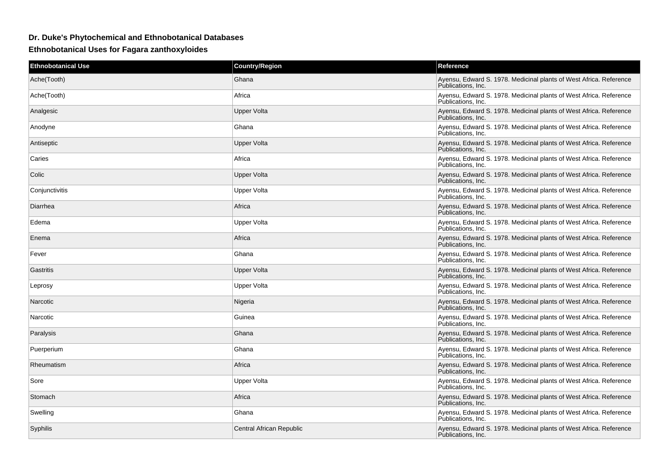## **Dr. Duke's Phytochemical and Ethnobotanical Databases**

**Ethnobotanical Uses for Fagara zanthoxyloides**

| <b>Ethnobotanical Use</b> | <b>Country/Region</b>    | Reference                                                                                |
|---------------------------|--------------------------|------------------------------------------------------------------------------------------|
| Ache(Tooth)               | Ghana                    | Ayensu, Edward S. 1978. Medicinal plants of West Africa. Reference<br>Publications, Inc. |
| Ache(Tooth)               | Africa                   | Ayensu, Edward S. 1978. Medicinal plants of West Africa. Reference<br>Publications, Inc. |
| Analgesic                 | Upper Volta              | Ayensu, Edward S. 1978. Medicinal plants of West Africa. Reference<br>Publications, Inc. |
| Anodyne                   | Ghana                    | Ayensu, Edward S. 1978. Medicinal plants of West Africa. Reference<br>Publications, Inc. |
| Antiseptic                | Upper Volta              | Ayensu, Edward S. 1978. Medicinal plants of West Africa. Reference<br>Publications, Inc. |
| Caries                    | Africa                   | Ayensu, Edward S. 1978. Medicinal plants of West Africa. Reference<br>Publications, Inc. |
| Colic                     | Upper Volta              | Ayensu, Edward S. 1978. Medicinal plants of West Africa. Reference<br>Publications, Inc. |
| Conjunctivitis            | Upper Volta              | Ayensu, Edward S. 1978. Medicinal plants of West Africa. Reference<br>Publications, Inc. |
| Diarrhea                  | Africa                   | Ayensu, Edward S. 1978. Medicinal plants of West Africa. Reference<br>Publications, Inc. |
| Edema                     | Upper Volta              | Ayensu, Edward S. 1978. Medicinal plants of West Africa. Reference<br>Publications, Inc. |
| Enema                     | Africa                   | Ayensu, Edward S. 1978. Medicinal plants of West Africa. Reference<br>Publications, Inc. |
| Fever                     | Ghana                    | Ayensu, Edward S. 1978. Medicinal plants of West Africa. Reference<br>Publications, Inc. |
| Gastritis                 | <b>Upper Volta</b>       | Ayensu, Edward S. 1978. Medicinal plants of West Africa. Reference<br>Publications, Inc. |
| Leprosy                   | Upper Volta              | Ayensu, Edward S. 1978. Medicinal plants of West Africa. Reference<br>Publications, Inc. |
| Narcotic                  | Nigeria                  | Ayensu, Edward S. 1978. Medicinal plants of West Africa. Reference<br>Publications, Inc. |
| Narcotic                  | Guinea                   | Ayensu, Edward S. 1978. Medicinal plants of West Africa. Reference<br>Publications, Inc. |
| Paralysis                 | Ghana                    | Ayensu, Edward S. 1978. Medicinal plants of West Africa. Reference<br>Publications, Inc. |
| Puerperium                | Ghana                    | Ayensu, Edward S. 1978. Medicinal plants of West Africa. Reference<br>Publications. Inc. |
| Rheumatism                | Africa                   | Ayensu, Edward S. 1978. Medicinal plants of West Africa. Reference<br>Publications. Inc. |
| Sore                      | Upper Volta              | Ayensu, Edward S. 1978. Medicinal plants of West Africa. Reference<br>Publications, Inc. |
| Stomach                   | Africa                   | Ayensu, Edward S. 1978. Medicinal plants of West Africa. Reference<br>Publications. Inc. |
| Swelling                  | Ghana                    | Ayensu, Edward S. 1978. Medicinal plants of West Africa. Reference<br>Publications. Inc. |
| Syphilis                  | Central African Republic | Ayensu, Edward S. 1978. Medicinal plants of West Africa. Reference<br>Publications, Inc. |